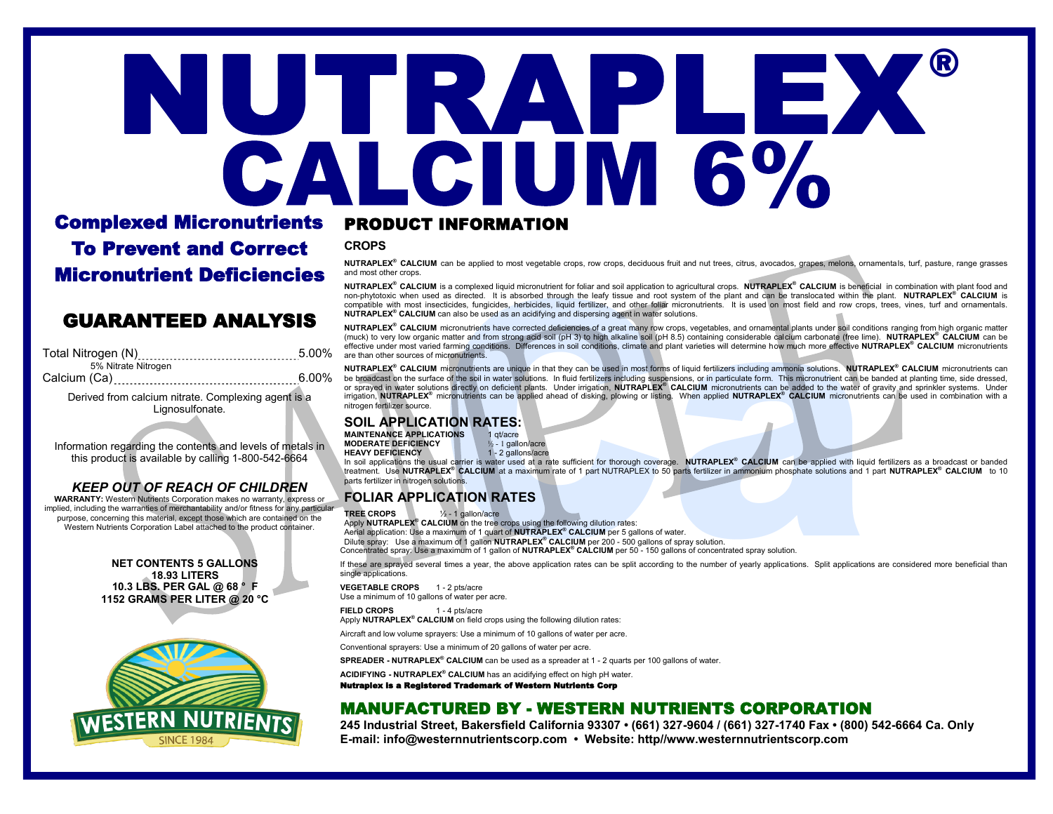# ® JTRAPLEX CALCIUM 6%

# Complexed Micronutrients To Prevent and Correct Micronutrient Deficiencies

# PRODUCT INFORMATION

**CROPS**

**NUTRAPLEX® CALCIUM** can be applied to most vegetable crops, row crops, deciduous fruit and nut trees, citrus, avocados, grapes, melons, ornamentals, turf, pasture, range grasses and most other crops.

**NUTRAPLEX® CALCIUM** is a complexed liquid micronutrient for foliar and soil application to agricultural crops. **NUTRAPLEX® CALCIUM** is beneficial in combination with plant food and non-phytotoxic when used as directed. It is absorbed through the leafy tissue and root system of the plant and can be translocated within the plant. **NUTRAPLEX® CALCIUM** is compatible with most insecticides, fungicides, herbicides, liquid fertilizer, and other foliar micronutrients. It is used on most field and row crops, trees, vines, turf and ornamentals. **NUTRAPLEX® CALCIUM** can also be used as an acidifying and dispersing agent in water solutions.

**NUTRAPLEX® CALCIUM** micronutrients have corrected deficiencies of a great many row crops, vegetables, and ornamental plants under soil conditions ranging from high organic matter (muck) to very low organic matter and from strong acid soil (pH 3) to high alkaline soil (pH 8.5) containing considerable calcium carbonate (free lime). **NUTRAPLEX® CALCIUM** can be GUARANTEED ANALYSIS

| Total Nitrogen (N) __________________________________5.00% |       |
|------------------------------------------------------------|-------|
| 5% Nitrate Nitrogen                                        |       |
|                                                            | 6.00% |
| Derived from calcium nitrate. Complexing agent is a        |       |

Lignosulfonate.

Information regarding the contents and levels of metals in this product is available by calling 1-800-542-6664

#### *KEEP OUT OF REACH OF CHILDREN*

**WARRANTY:** Western Nutrients Corporation makes no warranty, express or implied, including the warranties of merchantability and/or fitness for any particular purpose, concerning this material, except those which are contained on the Western Nutrients Corporation Label attached to the product container.

> **NET CONTENTS 5 GALLONS 18.93 LITERS 10.3 LBS. PER GAL @ 68 ° F 1152 GRAMS PER LITER @ 20 °C**



#### effective under most varied farming conditions. Differences in soil conditions, climate and plant varieties will determine how much more effective **NUTRAPLEX® CALCIUM** micronutrients are than other sources of micronutrients.

**NUTRAPLEX® CALCIUM** micronutrients are unique in that they can be used in most forms of liquid fertilizers including ammonia solutions. **NUTRAPLEX® CALCIUM** micronutrients can be broadcast on the surface of the soil in water solutions. In fluid fertilizers including suspensions, or in particulate form. This micronutrient can be banded at planting time, side dressed, or sprayed in water solutions directly on deficient plants. Under irrigation, **NUTRAPLEX® CALCIUM** micronutrients can be added to the water of gravity and sprinkler systems. Under irrigation, **NUTRAPLEX®** micronutrients can be applied ahead of disking, plowing or listing. When applied **NUTRAPLEX® CALCIUM** micronutrients can be used in combination with a nitrogen fertilizer source.

# **SOIL APPLICATION RATES:**<br>MAINTENANCE APPLICATIONS 1 divacre

**MAINTENANCE APPLICATIONS MODERATE DEFICIENCY**<br> **HEAVY DEFICIENCY**<br>
1 - 2 gallons/acre **HEAVY DEFICIENCY** 

In soil applications the usual carrier is water used at a rate sufficient for thorough coverage. NUTRAPLEX® CALCIUM can be applied with liquid fertilizers as a broadcast or banded<br>treatment. Use NUTRAPLEX® CALCIUM at a max parts fertilizer in nitrogen solutions.

# **FOLIAR APPLICATION RATES**

**TREE CROPS** ½ - 1 gallon/acre Apply **NUTRAPLEX® CALCIUM** on the tree crops using the following dilution rates: Aerial application: Use a maximum of 1 quart of **NUTRAPLEX® CALCIUM** per 5 gallons of water. Dilute spray: Use a maximum of 1 gallon **NUTRAPLEX® CALCIUM** per 200 - 500 gallons of spray solution. Concentrated spray: Use a maximum of 1 gallon of **NUTRAPLEX® CALCIUM** per 50 - 150 gallons of concentrated spray solution.

If these are sprayed several times a year, the above application rates can be split according to the number of yearly applications. Split applications are considered more beneficial than single applications.

**VEGETABLE CROPS** 1 - 2 pts/acre

Use a minimum of 10 gallons of water per acre.

**FIELD CROPS** 1 - 4 pts/acre

Apply **NUTRAPLEX® CALCIUM** on field crops using the following dilution rates:

Aircraft and low volume sprayers: Use a minimum of 10 gallons of water per acre.

Conventional sprayers: Use a minimum of 20 gallons of water per acre.

**SPREADER - NUTRAPLEX® CALCIUM** can be used as a spreader at 1 - 2 quarts per 100 gallons of water.

**ACIDIFYING - NUTRAPLEX® CALCIUM** has an acidifying effect on high pH water.

Nutraplex is a Registered Trademark of Western Nutrients Corp

# MANUFACTURED BY - WESTERN NUTRIENTS CORPORATION

**245 Industrial Street, Bakersfield California 93307 • (661) 327-9604 / (661) 327-1740 Fax • (800) 542-6664 Ca. Only E-mail: info@westernnutrientscorp.com • Website: http//www.westernnutrientscorp.com**